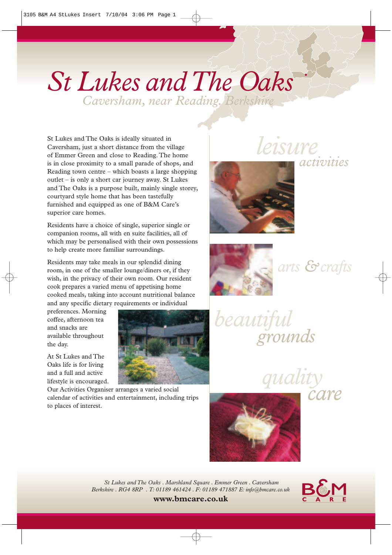# *St Lukes and The Oaks*

*Caversham, near Reading. Berkshire* 

St Lukes and The Oaks is ideally situated in Caversham, just a short distance from the village of Emmer Green and close to Reading. The home is in close proximity to a small parade of shops, and Reading town centre – which boasts a large shopping outlet – is only a short car journey away. St Lukes and The Oaks is a purpose built, mainly single storey, courtyard style home that has been tastefully furnished and equipped as one of B&M Care's superior care homes.

Residents have a choice of single, superior single or companion rooms, all with en suite facilities, all of which may be personalised with their own possessions to help create more familiar surroundings.

Residents may take meals in our splendid dining room, in one of the smaller lounge/diners or, if they wish, in the privacy of their own room. Our resident cook prepares a varied menu of appetising home cooked meals, taking into account nutritional balance and any specific dietary requirements or individual

preferences. Morning coffee, afternoon tea and snacks are available throughout the day.

At St Lukes and The Oaks life is for living and a full and active lifestyle is encouraged.

Our Activities Organiser arranges a varied social calendar of activities and entertainment, including trips to places of interest.

*leisure*



*arts &crafts*

*activities*

*beautiful grounds*

> *quality care*